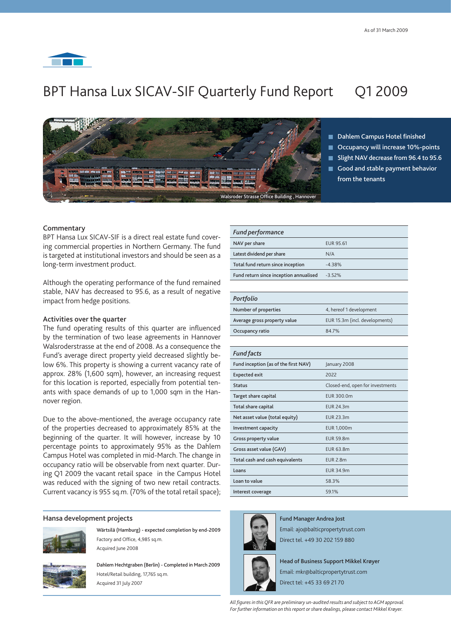# BPT Hansa Lux SICAV-SIF Quarterly Fund Report Q1 2009



Dahlem Campus Hotel finished

- Occupancy will increase 10%-points
- Slight NAV decrease from 96.4 to 95.6
- Good and stable payment behavior from the tenants

# **Commentary**

BPT Hansa Lux SICAV-SIF is a direct real estate fund covering commercial properties in Northern Germany. The fund is targeted at institutional investors and should be seen as a long-term investment product.

Although the operating performance of the fund remained stable, NAV has decreased to 95.6, as a result of negative impact from hedge positions.

### Activities over the quarter

The fund operating results of this quarter are influenced by the termination of two lease agreements in Hannover Walsroderstrasse at the end of 2008. As a consequence the Fund's average direct property yield decreased slightly below 6%. This property is showing a current vacancy rate of approx. 28% (1,600 sqm), however, an increasing request for this location is reported, especially from potential tenants with space demands of up to 1,000 sqm in the Hannover region.

Due to the above-mentioned, the average occupancy rate of the properties decreased to approximately 85% at the beginning of the quarter. It will however, increase by 10 percentage points to approximately 95% as the Dahlem Campus Hotel was completed in mid-March. The change in occupancy ratio will be observable from next quarter. During Q1 2009 the vacant retail space in the Campus Hotel was reduced with the signing of two new retail contracts. Current vacancy is 955 sq.m. (70% of the total retail space);

#### Hansa development projects



Wärtsilä (Hamburg) - expected completion by end-2009 Factory and Office, 4,985 sq.m. Acquired June 2008



Dahlem Hechtgraben (Berlin) - Completed in March 2009 Hotel/Retail building, 17,765 sq.m. Acquired 31 July 2007

| <b>Fund performance</b>                |                  |
|----------------------------------------|------------------|
| NAV per share                          | <b>EUR 95.61</b> |
| Latest dividend per share              | N/A              |
| Total fund return since inception      | $-4.38%$         |
| Fund return since inception annualised | $-3.52%$         |

#### *Portfolio*

| .                            |                                |
|------------------------------|--------------------------------|
| Number of properties         | 4, hereof 1 development        |
| Average gross property value | EUR 15.3m (incl. developments) |
| Occupancy ratio              | 84.7%                          |

| <b>Fund facts</b>                    |                                  |
|--------------------------------------|----------------------------------|
| Fund inception (as of the first NAV) | January 2008                     |
| <b>Expected exit</b>                 | 2022                             |
| <b>Status</b>                        | Closed-end, open for investments |
| Target share capital                 | EUR 300.0m                       |
| Total share capital                  | FUR 24 3m                        |
| Net asset value (total equity)       | <b>EUR 23.3m</b>                 |
| Investment capacity                  | <b>EUR 1,000m</b>                |
| Gross property value                 | <b>EUR 59.8m</b>                 |
| Gross asset value (GAV)              | <b>EUR 63.8m</b>                 |
| Total cash and cash equivalents      | <b>EUR 2.8m</b>                  |
| Loans                                | <b>EUR 34.9m</b>                 |
| Loan to value                        | 58.3%                            |
| Interest coverage                    | 59.1%                            |
|                                      |                                  |



Fund Manager Andrea Jost Email: ajo@balticpropertytrust.com Direct tel. +49 30 202 159 880

Head of Business Support Mikkel Krøyer Email: mkr@balticpropertytrust.com

Direct tel: +45 33 69 21 70

*All figures in this QFR are preliminary un-audited results and subject to AGM approval. For further information on this report or share dealings, please contact Mikkel Krøyer.*